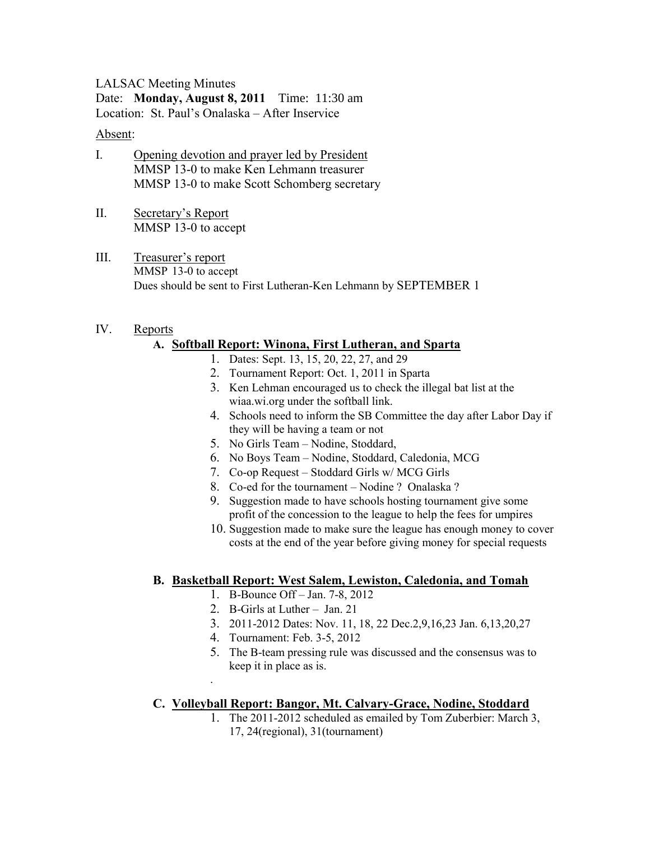LALSAC Meeting Minutes Date: **Monday, August 8, 2011** Time: 11:30 am Location: St. Paul's Onalaska – After Inservice

#### Absent:

- I. Opening devotion and prayer led by President MMSP 13-0 to make Ken Lehmann treasurer MMSP 13-0 to make Scott Schomberg secretary
- II. Secretary's Report MMSP 13-0 to accept
- III. Treasurer's report MMSP 13-0 to accept Dues should be sent to First Lutheran-Ken Lehmann by SEPTEMBER 1

#### IV. Reports

### **A. Softball Report: Winona, First Lutheran, and Sparta**

- 1. Dates: Sept. 13, 15, 20, 22, 27, and 29
- 2. Tournament Report: Oct. 1, 2011 in Sparta
- 3. Ken Lehman encouraged us to check the illegal bat list at the wiaa.wi.org under the softball link.
- 4. Schools need to inform the SB Committee the day after Labor Day if they will be having a team or not
- 5. No Girls Team Nodine, Stoddard,
- 6. No Boys Team Nodine, Stoddard, Caledonia, MCG
- 7. Co-op Request Stoddard Girls w/ MCG Girls
- 8. Co-ed for the tournament Nodine ? Onalaska ?
- 9. Suggestion made to have schools hosting tournament give some profit of the concession to the league to help the fees for umpires
- 10. Suggestion made to make sure the league has enough money to cover costs at the end of the year before giving money for special requests

### **B. Basketball Report: West Salem, Lewiston, Caledonia, and Tomah**

- 1. B-Bounce Off Jan. 7-8, 2012
- 2. B-Girls at Luther Jan. 21
- 3. 2011-2012 Dates: Nov. 11, 18, 22 Dec.2,9,16,23 Jan. 6,13,20,27
- 4. Tournament: Feb. 3-5, 2012

.

5. The B-team pressing rule was discussed and the consensus was to keep it in place as is.

### **C. Volleyball Report: Bangor, Mt. Calvary-Grace, Nodine, Stoddard**

1. The 2011-2012 scheduled as emailed by Tom Zuberbier: March 3, 17, 24(regional), 31(tournament)